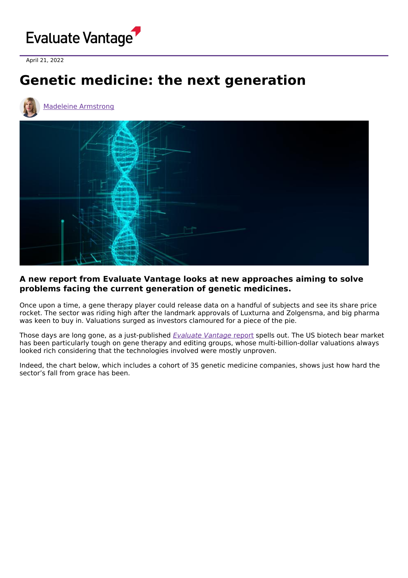

April 21, 2022

## **Genetic medicine: the next generation**





## **A new report from Evaluate Vantage looks at new approaches aiming to solve problems facing the current generation of genetic medicines.**

Once upon a time, a gene therapy player could release data on a handful of subjects and see its share price rocket. The sector was riding high after the landmark approvals of Luxturna and Zolgensma, and big pharma was keen to buy in. Valuations surged as investors clamoured for a piece of the pie.

Those days are long gone, as a just-published [Evaluate](https://www.evaluate.com/thought-leadership/vantage/genetic-medicine-next-generation) Vantage report spells out. The US biotech bear market has been particularly tough on gene therapy and editing groups, whose multi-billion-dollar valuations always looked rich considering that the technologies involved were mostly unproven.

Indeed, the chart below, which includes a cohort of 35 genetic medicine companies, shows just how hard the sector's fall from grace has been.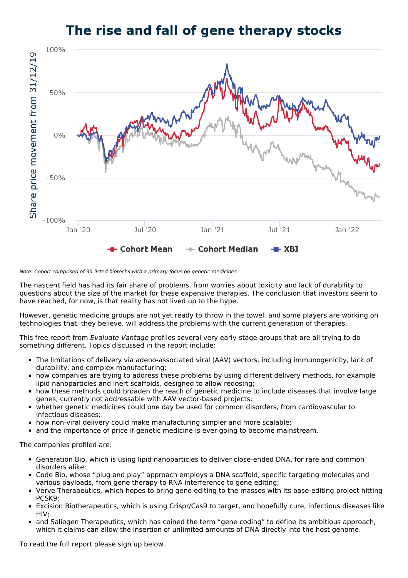## The rise and fall of gene therapy stocks



## Note: Cohort comprised of 35 listed biotechs with a primary focus on genetic medicines

The nascent field has had its fair share of problems, from worries about toxicity and lack of durability to questions about the size of the market for these expensive therapies. The conclusion that investors seem to have reached, for now, is that reality has not lived up to the hype.

However, genetic medicine groups are not yet ready to throw in the towel, and some players are working on technologies that, they believe, will address the problems with the current generation of therapies.

This free report from Evaluate Vantage profiles several very early-stage groups that are all trying to do something different. Topics discussed in the report include:

- The limitations of delivery via adeno-associated viral (AAV) vectors, including immunogenicity, lack of durability, and complex manufacturing;
- how companies are trying to address these problems by using different delivery methods, for example lipid nanoparticles and inert scaffolds, designed to allow redosing;
- how these methods could broaden the reach of genetic medicine to include diseases that involve large genes, currently not addressable with AAV vector-based projects;
- whether genetic medicines could one day be used for common disorders, from cardiovascular to infectious diseases;
- how non-viral delivery could make manufacturing simpler and more scalable;
- and the importance of price if genetic medicine is ever going to become mainstream.

The companies profiled are:

- Generation Bio, which is using lipid nanoparticles to deliver close-ended DNA, for rare and common disorders alike;
- Code Bio, whose "plug and play" approach employs a DNA scaffold, specific targeting molecules and various payloads, from gene therapy to RNA interference to gene editing;
- Verve Therapeutics, which hopes to bring gene editing to the masses with its base-editing project hitting PCSK9;
- Excision Biotherapeutics, which is using Crispr/Cas9 to target, and hopefully cure, infectious diseases like HIV;
- and Saliogen Therapeutics, which has coined the term "gene coding" to define its ambitious approach, which it claims can allow the insertion of unlimited amounts of DNA directly into the host genome.

To read the full report please sign up below.